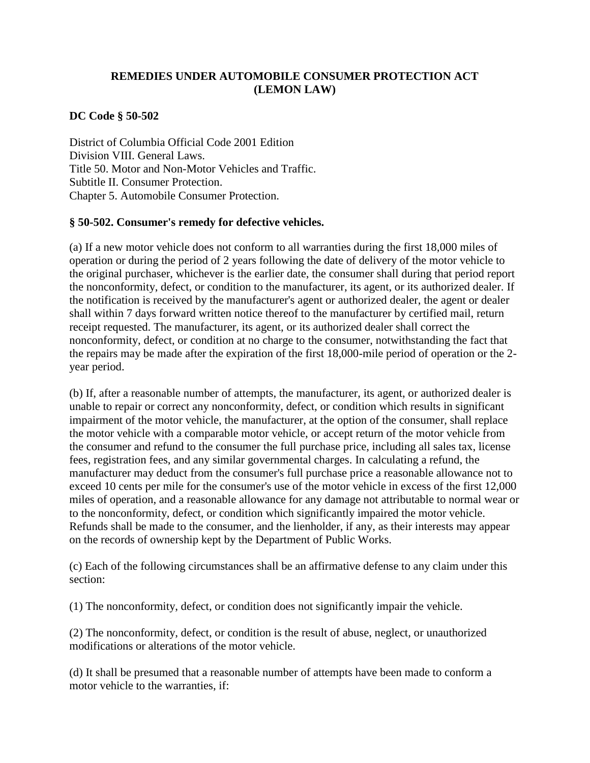## **REMEDIES UNDER AUTOMOBILE CONSUMER PROTECTION ACT (LEMON LAW)**

## **DC Code § 50-502**

District of Columbia Official Code 2001 Edition Division VIII. General Laws. Title 50. Motor and Non-Motor Vehicles and Traffic. Subtitle II. Consumer Protection. Chapter 5. Automobile Consumer Protection.

## **§ 50-502. Consumer's remedy for defective vehicles.**

(a) If a new motor vehicle does not conform to all warranties during the first 18,000 miles of operation or during the period of 2 years following the date of delivery of the motor vehicle to the original purchaser, whichever is the earlier date, the consumer shall during that period report the nonconformity, defect, or condition to the manufacturer, its agent, or its authorized dealer. If the notification is received by the manufacturer's agent or authorized dealer, the agent or dealer shall within 7 days forward written notice thereof to the manufacturer by certified mail, return receipt requested. The manufacturer, its agent, or its authorized dealer shall correct the nonconformity, defect, or condition at no charge to the consumer, notwithstanding the fact that the repairs may be made after the expiration of the first 18,000-mile period of operation or the 2 year period.

(b) If, after a reasonable number of attempts, the manufacturer, its agent, or authorized dealer is unable to repair or correct any nonconformity, defect, or condition which results in significant impairment of the motor vehicle, the manufacturer, at the option of the consumer, shall replace the motor vehicle with a comparable motor vehicle, or accept return of the motor vehicle from the consumer and refund to the consumer the full purchase price, including all sales tax, license fees, registration fees, and any similar governmental charges. In calculating a refund, the manufacturer may deduct from the consumer's full purchase price a reasonable allowance not to exceed 10 cents per mile for the consumer's use of the motor vehicle in excess of the first 12,000 miles of operation, and a reasonable allowance for any damage not attributable to normal wear or to the nonconformity, defect, or condition which significantly impaired the motor vehicle. Refunds shall be made to the consumer, and the lienholder, if any, as their interests may appear on the records of ownership kept by the Department of Public Works.

(c) Each of the following circumstances shall be an affirmative defense to any claim under this section:

(1) The nonconformity, defect, or condition does not significantly impair the vehicle.

(2) The nonconformity, defect, or condition is the result of abuse, neglect, or unauthorized modifications or alterations of the motor vehicle.

(d) It shall be presumed that a reasonable number of attempts have been made to conform a motor vehicle to the warranties, if: